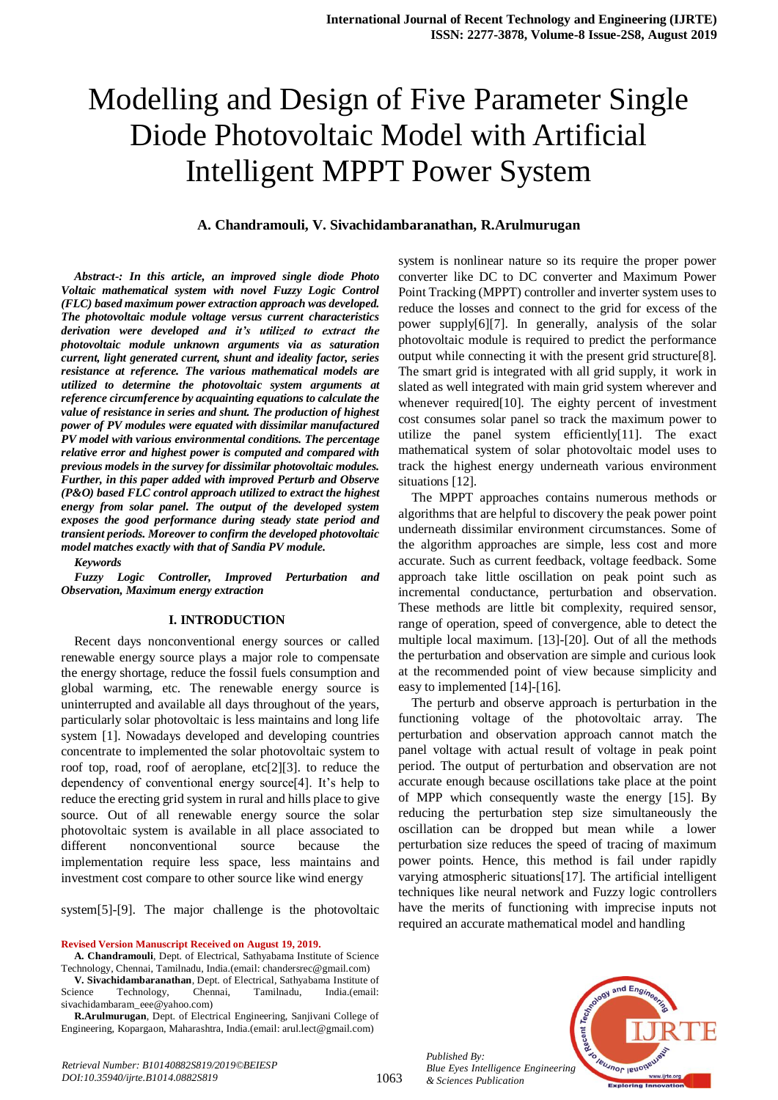# Modelling and Design of Five Parameter Single Diode Photovoltaic Model with Artificial Intelligent MPPT Power System

## **A. Chandramouli, V. Sivachidambaranathan, R.Arulmurugan**

*Abstract-: In this article, an improved single diode Photo Voltaic mathematical system with novel Fuzzy Logic Control (FLC) based maximum power extraction approach was developed. The photovoltaic module voltage versus current characteristics derivation were developed and it's utilized to extract the photovoltaic module unknown arguments via as saturation current, light generated current, shunt and ideality factor, series resistance at reference. The various mathematical models are utilized to determine the photovoltaic system arguments at reference circumference by acquainting equations to calculate the value of resistance in series and shunt. The production of highest power of PV modules were equated with dissimilar manufactured PV model with various environmental conditions. The percentage relative error and highest power is computed and compared with previous models in the survey for dissimilar photovoltaic modules. Further, in this paper added with improved Perturb and Observe (P&O) based FLC control approach utilized to extract the highest energy from solar panel. The output of the developed system exposes the good performance during steady state period and transient periods. Moreover to confirm the developed photovoltaic model matches exactly with that of Sandia PV module.* 

*Keywords*

*Fuzzy Logic Controller, Improved Perturbation and Observation, Maximum energy extraction*

#### **I. INTRODUCTION**

Recent days nonconventional energy sources or called renewable energy source plays a major role to compensate the energy shortage, reduce the fossil fuels consumption and global warming, etc. The renewable energy source is uninterrupted and available all days throughout of the years, particularly solar photovoltaic is less maintains and long life system [1]. Nowadays developed and developing countries concentrate to implemented the solar photovoltaic system to roof top, road, roof of aeroplane, etc[2][3]. to reduce the dependency of conventional energy source[4]. It's help to reduce the erecting grid system in rural and hills place to give source. Out of all renewable energy source the solar photovoltaic system is available in all place associated to different nonconventional source because the implementation require less space, less maintains and investment cost compare to other source like wind energy

system[5]-[9]. The major challenge is the photovoltaic

**Revised Version Manuscript Received on August 19, 2019.**

**V. Sivachidambaranathan**, Dept. of Electrical, Sathyabama Institute of Science Technology, Chennai, Tamilnadu, India.(email: sivachidambaram\_eee@yahoo.com)

**R.Arulmurugan**, Dept. of Electrical Engineering, Sanjivani College of Engineering, Kopargaon, Maharashtra, India.(email: arul.lect@gmail.com)

system is nonlinear nature so its require the proper power converter like DC to DC converter and Maximum Power Point Tracking (MPPT) controller and inverter system uses to reduce the losses and connect to the grid for excess of the power supply[6][7]. In generally, analysis of the solar photovoltaic module is required to predict the performance output while connecting it with the present grid structure[8]. The smart grid is integrated with all grid supply, it work in slated as well integrated with main grid system wherever and whenever required[10]. The eighty percent of investment cost consumes solar panel so track the maximum power to utilize the panel system efficiently[11]. The exact mathematical system of solar photovoltaic model uses to track the highest energy underneath various environment situations [12].

The MPPT approaches contains numerous methods or algorithms that are helpful to discovery the peak power point underneath dissimilar environment circumstances. Some of the algorithm approaches are simple, less cost and more accurate. Such as current feedback, voltage feedback. Some approach take little oscillation on peak point such as incremental conductance, perturbation and observation. These methods are little bit complexity, required sensor, range of operation, speed of convergence, able to detect the multiple local maximum. [13]-[20]. Out of all the methods the perturbation and observation are simple and curious look at the recommended point of view because simplicity and easy to implemented [14]-[16].

The perturb and observe approach is perturbation in the functioning voltage of the photovoltaic array. The perturbation and observation approach cannot match the panel voltage with actual result of voltage in peak point period. The output of perturbation and observation are not accurate enough because oscillations take place at the point of MPP which consequently waste the energy [15]. By reducing the perturbation step size simultaneously the oscillation can be dropped but mean while a lower perturbation size reduces the speed of tracing of maximum power points. Hence, this method is fail under rapidly varying atmospheric situations[17]. The artificial intelligent techniques like neural network and Fuzzy logic controllers have the merits of functioning with imprecise inputs not required an accurate mathematical model and handling



*Published By: Blue Eyes Intelligence Engineering & Sciences Publication* 

1063

**A. Chandramouli**, Dept. of Electrical, Sathyabama Institute of Science Technology, Chennai, Tamilnadu, India.(email: chandersrec@gmail.com)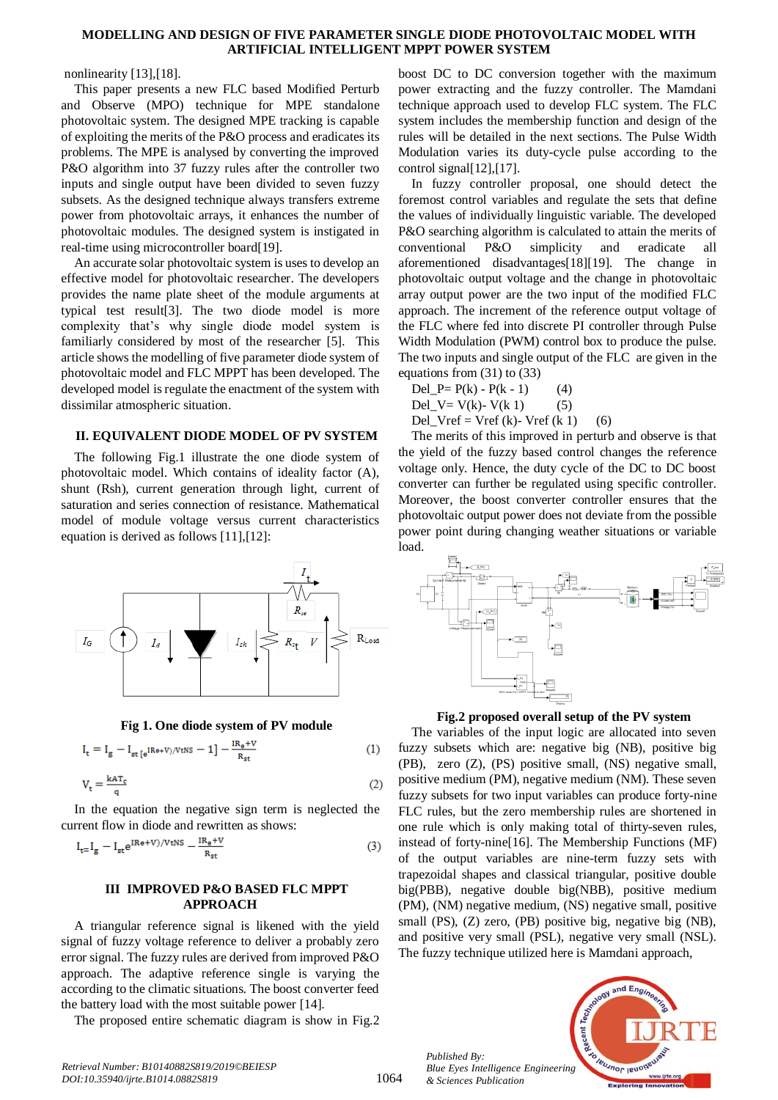#### **MODELLING AND DESIGN OF FIVE PARAMETER SINGLE DIODE PHOTOVOLTAIC MODEL WITH ARTIFICIAL INTELLIGENT MPPT POWER SYSTEM**

#### nonlinearity [13],[18].

This paper presents a new FLC based Modified Perturb and Observe (MPO) technique for MPE standalone photovoltaic system. The designed MPE tracking is capable of exploiting the merits of the P&O process and eradicates its problems. The MPE is analysed by converting the improved P&O algorithm into 37 fuzzy rules after the controller two inputs and single output have been divided to seven fuzzy subsets. As the designed technique always transfers extreme power from photovoltaic arrays, it enhances the number of photovoltaic modules. The designed system is instigated in real-time using microcontroller board[19].

An accurate solar photovoltaic system is uses to develop an effective model for photovoltaic researcher. The developers provides the name plate sheet of the module arguments at typical test result[3]. The two diode model is more complexity that's why single diode model system is familiarly considered by most of the researcher [5]. This article shows the modelling of five parameter diode system of photovoltaic model and FLC MPPT has been developed. The developed model is regulate the enactment of the system with dissimilar atmospheric situation.

#### **II. EQUIVALENT DIODE MODEL OF PV SYSTEM**

The following Fig.1 illustrate the one diode system of photovoltaic model. Which contains of ideality factor (A), shunt (Rsh), current generation through light, current of saturation and series connection of resistance. Mathematical model of module voltage versus current characteristics equation is derived as follows [11],[12]:



**Fig 1. One diode system of PV module**

$$
I_t = I_g - I_{st[e^{iRe + V)/VtNs}} - 1] - \frac{IR_e + V}{R_{st}} \tag{1}
$$

$$
V_t = \frac{k A T_c}{q}
$$
 (2)

In the equation the negative sign term is neglected the current flow in diode and rewritten as shows:

$$
I_{t=}I_g - I_{st}e^{iRe + V)/VtNS} - \frac{IR_s + V}{R_{st}}\tag{3}
$$

#### **III IMPROVED P&O BASED FLC MPPT APPROACH**

A triangular reference signal is likened with the yield signal of fuzzy voltage reference to deliver a probably zero error signal. The fuzzy rules are derived from improved P&O approach. The adaptive reference single is varying the according to the climatic situations. The boost converter feed the battery load with the most suitable power [14].

The proposed entire schematic diagram is show in Fig.2

boost DC to DC conversion together with the maximum power extracting and the fuzzy controller. The Mamdani technique approach used to develop FLC system. The FLC system includes the membership function and design of the rules will be detailed in the next sections. The Pulse Width Modulation varies its duty-cycle pulse according to the control signal[12],[17].

In fuzzy controller proposal, one should detect the foremost control variables and regulate the sets that define the values of individually linguistic variable. The developed P&O searching algorithm is calculated to attain the merits of conventional P&O simplicity and eradicate all aforementioned disadvantages[18][19]. The change in photovoltaic output voltage and the change in photovoltaic array output power are the two input of the modified FLC approach. The increment of the reference output voltage of the FLC where fed into discrete PI controller through Pulse Width Modulation (PWM) control box to produce the pulse. The two inputs and single output of the FLC are given in the equations from (31) to (33)

$$
Del_{P} = P(k) - P(k - 1) \t\t(4)
$$
  
Del\_{V} = V(k) - V(k 1) \t\t(5)  
Del\_{Vref} = Vref (k) - Vref (k 1) \t\t(6)

The merits of this improved in perturb and observe is that the yield of the fuzzy based control changes the reference voltage only. Hence, the duty cycle of the DC to DC boost converter can further be regulated using specific controller. Moreover, the boost converter controller ensures that the photovoltaic output power does not deviate from the possible power point during changing weather situations or variable load.



**Fig.2 proposed overall setup of the PV system**

The variables of the input logic are allocated into seven fuzzy subsets which are: negative big (NB), positive big (PB), zero (Z), (PS) positive small, (NS) negative small, positive medium (PM), negative medium (NM). These seven fuzzy subsets for two input variables can produce forty-nine FLC rules, but the zero membership rules are shortened in one rule which is only making total of thirty-seven rules, instead of forty-nine[16]. The Membership Functions (MF) of the output variables are nine-term fuzzy sets with trapezoidal shapes and classical triangular, positive double big(PBB), negative double big(NBB), positive medium (PM), (NM) negative medium, (NS) negative small, positive small (PS), (Z) zero, (PB) positive big, negative big (NB), and positive very small (PSL), negative very small (NSL). The fuzzy technique utilized here is Mamdani approach,

*Published By: Blue Eyes Intelligence Engineering & Sciences Publication* 



*Retrieval Number: B10140882S819/2019©BEIESP DOI:10.35940/ijrte.B1014.0882S819*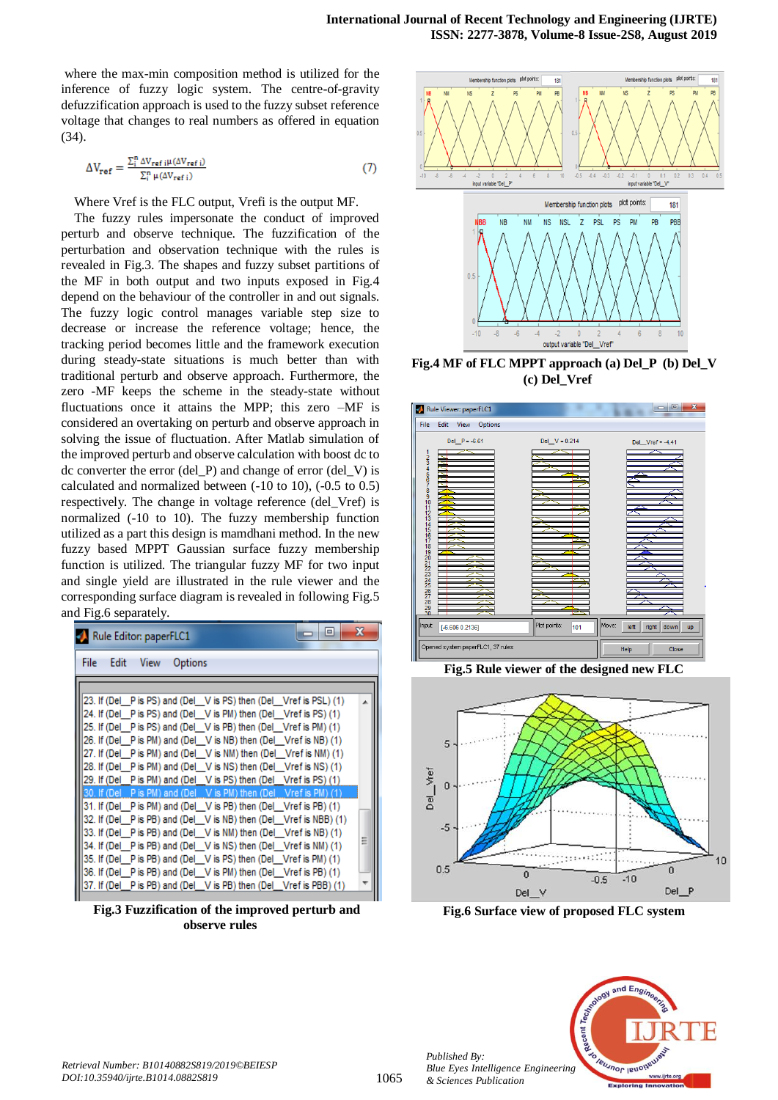where the max-min composition method is utilized for the inference of fuzzy logic system. The centre-of-gravity defuzzification approach is used to the fuzzy subset reference voltage that changes to real numbers as offered in equation (34).

$$
\Delta V_{\text{ref}} = \frac{\sum_{i}^{n} \Delta V_{\text{ref}} \, \mu(\Delta V_{\text{ref}} \, i)}{\sum_{i}^{n} \mu(\Delta V_{\text{ref}} \, i)}
$$
\n
$$
\tag{7}
$$

Where Vref is the FLC output, Vrefi is the output MF.

The fuzzy rules impersonate the conduct of improved perturb and observe technique. The fuzzification of the perturbation and observation technique with the rules is revealed in Fig.3. The shapes and fuzzy subset partitions of the MF in both output and two inputs exposed in Fig.4 depend on the behaviour of the controller in and out signals. The fuzzy logic control manages variable step size to decrease or increase the reference voltage; hence, the tracking period becomes little and the framework execution during steady-state situations is much better than with traditional perturb and observe approach. Furthermore, the zero -MF keeps the scheme in the steady-state without fluctuations once it attains the MPP; this zero –MF is considered an overtaking on perturb and observe approach in solving the issue of fluctuation. After Matlab simulation of the improved perturb and observe calculation with boost dc to dc converter the error (del P) and change of error (del V) is calculated and normalized between (-10 to 10), (-0.5 to 0.5) respectively. The change in voltage reference (del\_Vref) is normalized (-10 to 10). The fuzzy membership function utilized as a part this design is mamdhani method. In the new fuzzy based MPPT Gaussian surface fuzzy membership function is utilized. The triangular fuzzy MF for two input and single yield are illustrated in the rule viewer and the corresponding surface diagram is revealed in following Fig.5 and Fig.6 separately.

| 19<br>Rule Editor: paperFLC1                                       | x |
|--------------------------------------------------------------------|---|
| File<br>Edit<br>View<br>Options                                    |   |
|                                                                    |   |
| [23. If (Del P is PS) and (Del V is PS) then (Del Vref is PSL) (1) |   |
| [24. If (Del P is PS) and (Del V is PM) then (Del Vref is PS) (1)  |   |
| 25. If (Del Pis PS) and (Del V is PB) then (Del Vref is PM) (1)    |   |
| 26. If (Del Pis PM) and (Del V is NB) then (Del Vref is NB) (1)    |   |
| 27. If (Del P is PM) and (Del V is NM) then (Del Vref is NM) (1)   |   |
| 28. If (Del P is PM) and (Del V is NS) then (Del Vref is NS) (1)   |   |
| 29. If (Del P is PM) and (Del V is PS) then (Del Vref is PS) (1)   |   |
| [30. If (Del P is PM) and (Del V is PM) then (Del Vref is PM) (1)  |   |
| 31. If (Del P is PM) and (Del V is PB) then (Del Vref is PB) (1)   |   |
| 32. If (Del P is PB) and (Del V is NB) then (Del Vref is NBB) (1)  |   |
| 33. If (Del P is PB) and (Del V is NM) then (Del Vref is NB) (1)   |   |
| 34. If (Del P is PB) and (Del V is NS) then (Del Vref is NM) (1)   |   |
| 35. If (Del P is PB) and (Del V is PS) then (Del Vref is PM) (1)   |   |
| 36. If (Del P is PB) and (Del V is PM) then (Del Vref is PB) (1)   |   |
| 37. If (Del P is PB) and (Del V is PB) then (Del Vref is PBB) (1)  |   |

**Fig.3 Fuzzification of the improved perturb and observe rules**



**Fig.4 MF of FLC MPPT approach (a) Del\_P (b) Del\_V (c) Del\_Vref**







**Fig.6 Surface view of proposed FLC system**



*Published By:*

*& Sciences Publication*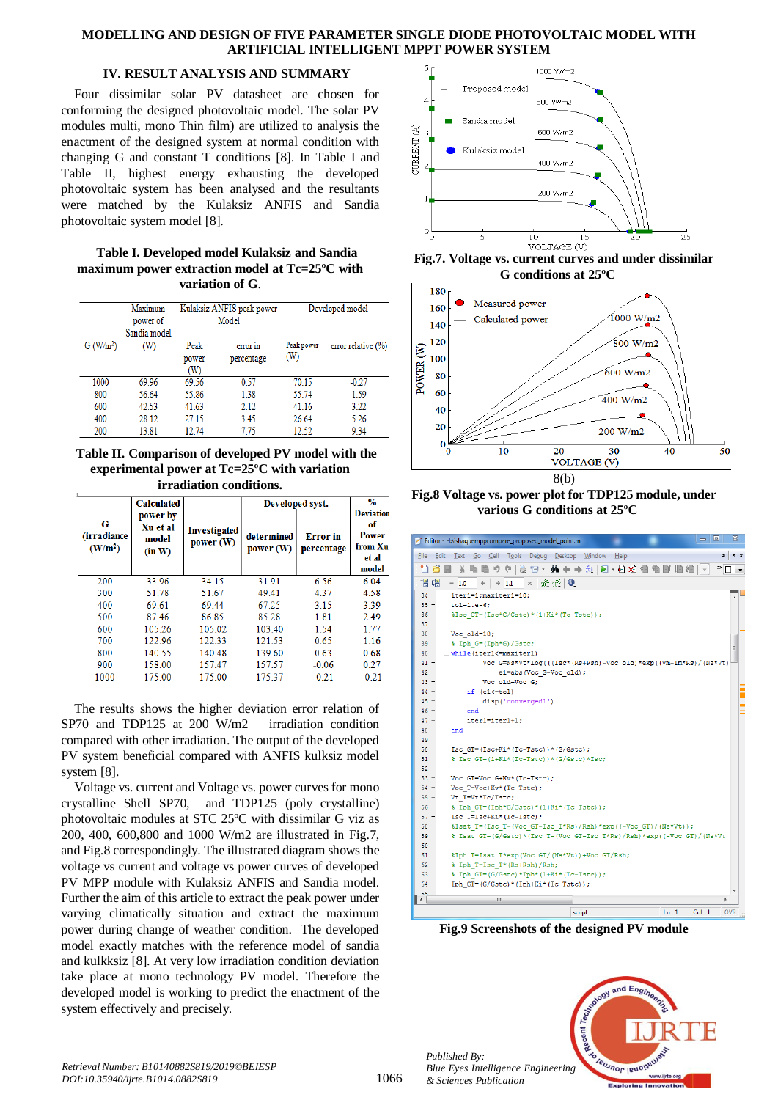## **MODELLING AND DESIGN OF FIVE PARAMETER SINGLE DIODE PHOTOVOLTAIC MODEL WITH ARTIFICIAL INTELLIGENT MPPT POWER SYSTEM**

## **IV. RESULT ANALYSIS AND SUMMARY**

Four dissimilar solar PV datasheet are chosen for conforming the designed photovoltaic model. The solar PV modules multi, mono Thin film) are utilized to analysis the enactment of the designed system at normal condition with changing G and constant T conditions [8]. In Table I and Table II, highest energy exhausting the developed photovoltaic system has been analysed and the resultants were matched by the Kulaksiz ANFIS and Sandia photovoltaic system model [8].

## **Table I. Developed model Kulaksiz and Sandia maximum power extraction model at Tc=25ºC with variation of G**.

|                       | Maximum<br>power of<br>Sandia model | Kulaksiz ANFIS peak power<br>Model |                        |                   | Developed model       |
|-----------------------|-------------------------------------|------------------------------------|------------------------|-------------------|-----------------------|
| G (W/m <sup>2</sup> ) | (W)                                 | Peak<br>power<br>(W)               | error in<br>percentage | Peak power<br>(W) | error relative $(\%)$ |
| 1000                  | 69.96                               | 69.56                              | 0.57                   | 70.15             | $-0.27$               |
| 800                   | 56.64                               | 55.86                              | 1.38                   | 55.74             | 1.59                  |
| 600                   | 42.53                               | 41.63                              | 2.12                   | 41.16             | 3.22                  |
| 400                   | 28.12                               | 27.15                              | 3.45                   | 26.64             | 5.26                  |
| 200                   | 13.81                               | 12.74                              | 7.75                   | 12.52             | 9.34                  |

**Table II. Comparison of developed PV model with the experimental power at Tc=25ºC with variation irradiation conditions.**

|                                                 | <b>Calculated</b>                       |                          | Developed syst.         |                               | $\frac{0}{0}$                                                |
|-------------------------------------------------|-----------------------------------------|--------------------------|-------------------------|-------------------------------|--------------------------------------------------------------|
| G<br><i>(irradiance)</i><br>(W/m <sup>2</sup> ) | power by<br>Xu et al<br>model<br>(in W) | Investigated<br>power(W) | determined<br>power (W) | <b>Error</b> in<br>percentage | <b>Deviation</b><br>of<br>Power<br>from Xu<br>et al<br>model |
| 200                                             | 33.96                                   | 34.15                    | 31.91                   | 6.56                          | 6.04                                                         |
| 300                                             | 51.78                                   | 51.67                    | 49.41                   | 4.37                          | 4.58                                                         |
| 400                                             | 69.61                                   | 69.44                    | 67.25                   | 3.15                          | 3.39                                                         |
| 500                                             | 87.46                                   | 86.85                    | 85.28                   | 1.81                          | 2.49                                                         |
| 600                                             | 105.26                                  | 105.02                   | 103.40                  | 1.54                          | 1.77                                                         |
| 700                                             | 122.96                                  | 122.33                   | 121.53                  | 0.65                          | 1.16                                                         |
| 800                                             | 140.55                                  | 140.48                   | 139.60                  | 0.63                          | 0.68                                                         |
| 900                                             | 158.00                                  | 157.47                   | 157.57                  | $-0.06$                       | 0.27                                                         |
| 1000                                            | 175.00                                  | 175.00                   | 175.37                  | $-0.21$                       | $-0.21$                                                      |

The results shows the higher deviation error relation of SP70 and TDP125 at 200 W/m2 irradiation condition compared with other irradiation. The output of the developed PV system beneficial compared with ANFIS kulksiz model system [8].

Voltage vs. current and Voltage vs. power curves for mono crystalline Shell SP70, and TDP125 (poly crystalline) photovoltaic modules at STC 25ºC with dissimilar G viz as 200, 400, 600,800 and 1000 W/m2 are illustrated in Fig.7, and Fig.8 correspondingly. The illustrated diagram shows the voltage vs current and voltage vs power curves of developed PV MPP module with Kulaksiz ANFIS and Sandia model. Further the aim of this article to extract the peak power under varying climatically situation and extract the maximum power during change of weather condition. The developed model exactly matches with the reference model of sandia and kulkksiz [8]. At very low irradiation condition deviation take place at mono technology PV model. Therefore the developed model is working to predict the enactment of the system effectively and precisely.







**Fig.8 Voltage vs. power plot for TDP125 module, under various G conditions at 25ºC**



**Fig.9 Screenshots of the designed PV module**



*Published By:*

*& Sciences Publication*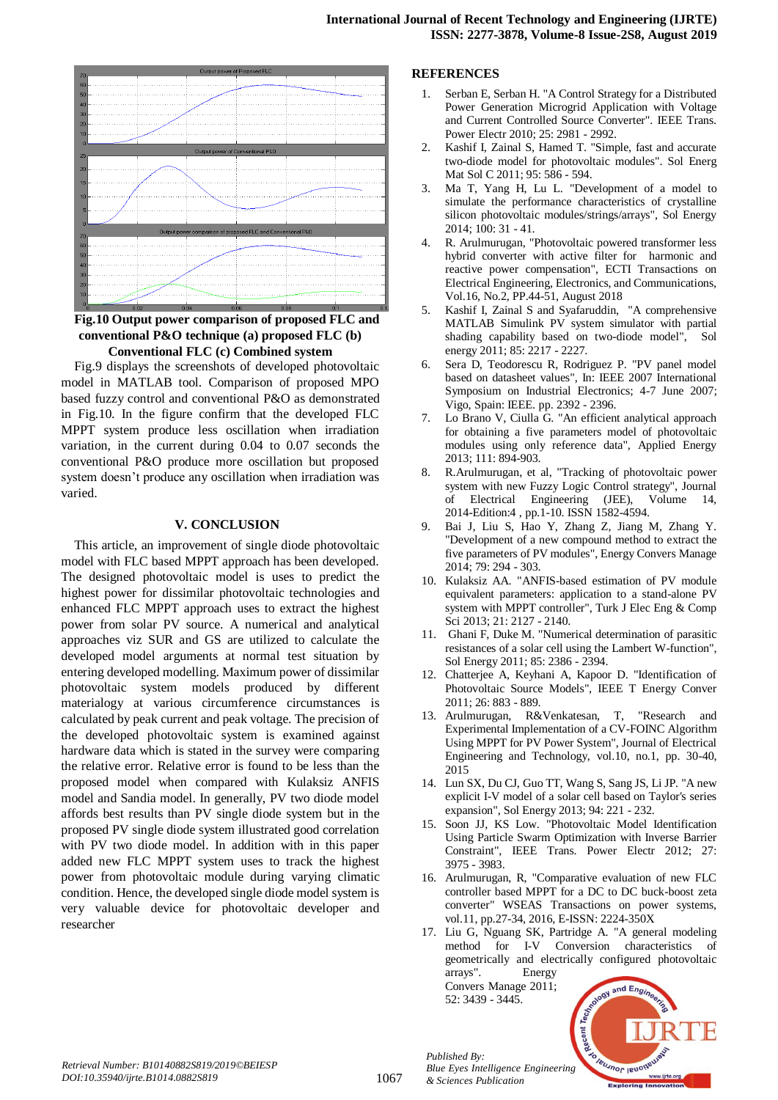

**Fig.10 Output power comparison of proposed FLC and conventional P&O technique (a) proposed FLC (b) Conventional FLC (c) Combined system**

Fig.9 displays the screenshots of developed photovoltaic model in MATLAB tool. Comparison of proposed MPO based fuzzy control and conventional P&O as demonstrated in Fig.10. In the figure confirm that the developed FLC MPPT system produce less oscillation when irradiation variation, in the current during 0.04 to 0.07 seconds the conventional P&O produce more oscillation but proposed system doesn't produce any oscillation when irradiation was varied.

#### **V. CONCLUSION**

This article, an improvement of single diode photovoltaic model with FLC based MPPT approach has been developed. The designed photovoltaic model is uses to predict the highest power for dissimilar photovoltaic technologies and enhanced FLC MPPT approach uses to extract the highest power from solar PV source. A numerical and analytical approaches viz SUR and GS are utilized to calculate the developed model arguments at normal test situation by entering developed modelling. Maximum power of dissimilar photovoltaic system models produced by different materialogy at various circumference circumstances is calculated by peak current and peak voltage. The precision of the developed photovoltaic system is examined against hardware data which is stated in the survey were comparing the relative error. Relative error is found to be less than the proposed model when compared with Kulaksiz ANFIS model and Sandia model. In generally, PV two diode model affords best results than PV single diode system but in the proposed PV single diode system illustrated good correlation with PV two diode model. In addition with in this paper added new FLC MPPT system uses to track the highest power from photovoltaic module during varying climatic condition. Hence, the developed single diode model system is very valuable device for photovoltaic developer and researcher

## **REFERENCES**

- 1. Serban E, Serban H. "A Control Strategy for a Distributed Power Generation Microgrid Application with Voltage and Current Controlled Source Converter". IEEE Trans. Power Electr 2010; 25: 2981 - 2992.
- 2. Kashif I, Zainal S, Hamed T. "Simple, fast and accurate two-diode model for photovoltaic modules". Sol Energ Mat Sol C 2011; 95: 586 - 594.
- 3. Ma T, Yang H, Lu L. "Development of a model to simulate the performance characteristics of crystalline silicon photovoltaic modules/strings/arrays", Sol Energy 2014; 100: 31 - 41.
- 4. R. Arulmurugan, "Photovoltaic powered transformer less hybrid converter with active filter for harmonic and reactive power compensation", ECTI Transactions on Electrical Engineering, Electronics, and Communications, Vol.16, No.2, PP.44-51, August 2018
- 5. Kashif I, Zainal S and Syafaruddin, "A comprehensive MATLAB Simulink PV system simulator with partial shading capability based on two-diode model", Sol energy 2011; 85: 2217 - 2227.
- 6. Sera D, Teodorescu R, Rodriguez P. "PV panel model based on datasheet values", In: IEEE 2007 International Symposium on Industrial Electronics; 4-7 June 2007; Vigo, Spain: IEEE. pp. 2392 - 2396.
- 7. Lo Brano V, Ciulla G. "An efficient analytical approach for obtaining a five parameters model of photovoltaic modules using only reference data", Applied Energy 2013; 111: 894-903.
- 8. R.Arulmurugan, et al, "Tracking of photovoltaic power system with new Fuzzy Logic Control strategy", Journal of Electrical Engineering (JEE), Volume 14, 2014-Edition:4 , pp.1-10. ISSN 1582-4594.
- 9. Bai J, Liu S, Hao Y, Zhang Z, Jiang M, Zhang Y. "Development of a new compound method to extract the five parameters of PV modules", Energy Convers Manage 2014; 79: 294 - 303.
- 10. Kulaksiz AA. "ANFIS-based estimation of PV module equivalent parameters: application to a stand-alone PV system with MPPT controller", Turk J Elec Eng & Comp Sci 2013; 21: 2127 - 2140.
- 11. Ghani F, Duke M. "Numerical determination of parasitic resistances of a solar cell using the Lambert W-function", Sol Energy 2011; 85: 2386 - 2394.
- 12. Chatterjee A, Keyhani A, Kapoor D. "Identification of Photovoltaic Source Models", IEEE T Energy Conver 2011; 26: 883 - 889.
- 13. Arulmurugan, R&Venkatesan, T, "Research and Experimental Implementation of a CV-FOINC Algorithm Using MPPT for PV Power System", Journal of Electrical Engineering and Technology, vol.10, no.1, pp. 30-40, 2015
- 14. Lun SX, Du CJ, Guo TT, Wang S, Sang JS, Li JP. "A new explicit I-V model of a solar cell based on Taylor's series expansion", Sol Energy 2013; 94: 221 - 232.
- 15. Soon JJ, KS Low. "Photovoltaic Model Identification Using Particle Swarm Optimization with Inverse Barrier Constraint", IEEE Trans. Power Electr 2012; 27: 3975 - 3983.
- 16. Arulmurugan, R, "Comparative evaluation of new FLC controller based MPPT for a DC to DC buck-boost zeta converter" WSEAS Transactions on power systems, vol.11, pp.27-34, 2016, E-ISSN: 2224-350X
- 17. Liu G, Nguang SK, Partridge A. "A general modeling method for I-V Conversion characteristics of geometrically and electrically configured photovoltaic arrays". Energy

Convers Manage 2011; 52: 3439 - 3445.

*Published By:*

*& Sciences Publication* 



*Retrieval Number: B10140882S819/2019©BEIESP DOI:10.35940/ijrte.B1014.0882S819*